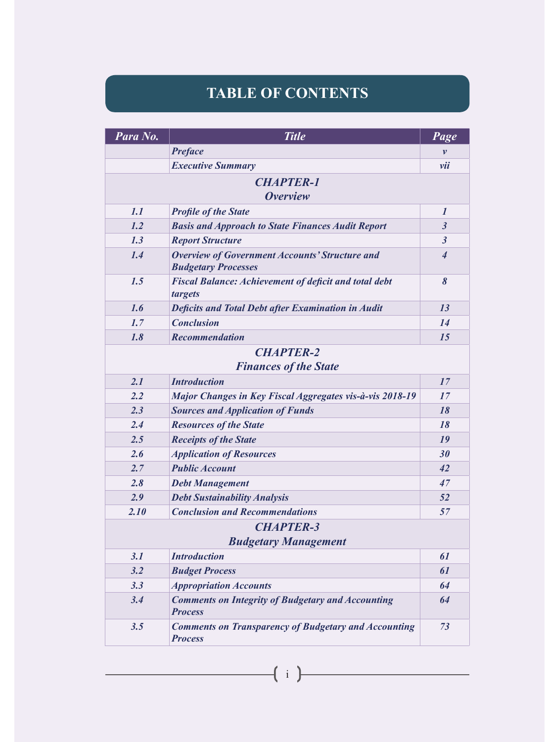## **TABLE OF CONTENTS**

| Para No.         | <b>Title</b>                                                                        | <b>Page</b>              |  |  |
|------------------|-------------------------------------------------------------------------------------|--------------------------|--|--|
|                  | <b>Preface</b>                                                                      | v                        |  |  |
|                  | <b>Executive Summary</b>                                                            | vii                      |  |  |
|                  | <b>CHAPTER-1</b>                                                                    |                          |  |  |
|                  | <b>Overview</b>                                                                     |                          |  |  |
| 1.1              | <b>Profile of the State</b>                                                         | $\boldsymbol{l}$         |  |  |
| 1.2              | <b>Basis and Approach to State Finances Audit Report</b>                            | $\mathfrak{z}$           |  |  |
| 1.3              | <b>Report Structure</b>                                                             | $\mathfrak{z}$           |  |  |
| 1.4              | <b>Overview of Government Accounts' Structure and</b><br><b>Budgetary Processes</b> | $\overline{\mathcal{A}}$ |  |  |
| 1.5              | <b>Fiscal Balance: Achievement of deficit and total debt</b><br>targets             | 8                        |  |  |
| 1.6              | <b>Deficits and Total Debt after Examination in Audit</b>                           | 13                       |  |  |
| 1.7              | <b>Conclusion</b>                                                                   | 14                       |  |  |
| 1.8              | <b>Recommendation</b>                                                               | 15                       |  |  |
|                  | <b>CHAPTER-2</b>                                                                    |                          |  |  |
|                  | <b>Finances of the State</b>                                                        |                          |  |  |
| 2.1              | <b>Introduction</b>                                                                 | 17                       |  |  |
| 2.2              | Major Changes in Key Fiscal Aggregates vis-à-vis 2018-19                            | 17                       |  |  |
| 2.3              | <b>Sources and Application of Funds</b>                                             | 18                       |  |  |
| 2.4              | <b>Resources of the State</b>                                                       | 18                       |  |  |
| 2.5              | <b>Receipts of the State</b>                                                        | 19                       |  |  |
| 2.6              | <b>Application of Resources</b>                                                     | 30                       |  |  |
| 2.7              | <b>Public Account</b>                                                               | 42                       |  |  |
| 2.8              | <b>Debt Management</b>                                                              | 47                       |  |  |
| 2.9              | <b>Debt Sustainability Analysis</b>                                                 | 52                       |  |  |
| 2.10             | <b>Conclusion and Recommendations</b>                                               | 57                       |  |  |
| <b>CHAPTER-3</b> |                                                                                     |                          |  |  |
|                  | <b>Budgetary Management</b>                                                         |                          |  |  |
| 3.1              | <b>Introduction</b>                                                                 | 61                       |  |  |
| 3.2              | <b>Budget Process</b>                                                               | 61                       |  |  |
| 3.3              | <b>Appropriation Accounts</b>                                                       | 64                       |  |  |
| 3.4              | <b>Comments on Integrity of Budgetary and Accounting</b><br><b>Process</b>          | 64                       |  |  |
| 3.5              | <b>Comments on Transparency of Budgetary and Accounting</b><br><b>Process</b>       | 73                       |  |  |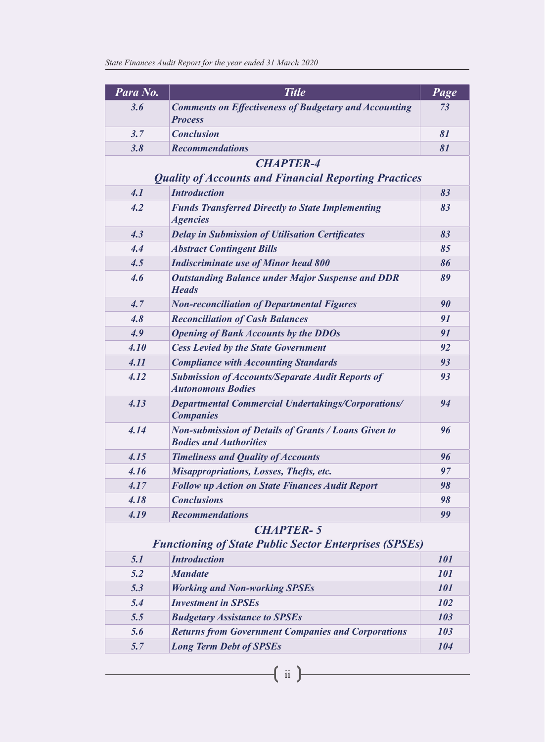| Para No.         | <b>Title</b>                                                                                 | <b>Page</b> |  |  |  |
|------------------|----------------------------------------------------------------------------------------------|-------------|--|--|--|
| 3.6              | <b>Comments on Effectiveness of Budgetary and Accounting</b><br><b>Process</b>               | 73          |  |  |  |
| 3.7              | <b>Conclusion</b>                                                                            | 81          |  |  |  |
| 3.8              | <b>Recommendations</b>                                                                       | 81          |  |  |  |
|                  | <b>CHAPTER-4</b>                                                                             |             |  |  |  |
|                  | <b>Quality of Accounts and Financial Reporting Practices</b>                                 |             |  |  |  |
| 4.1              | <b>Introduction</b>                                                                          | 83          |  |  |  |
| 4.2              | <b>Funds Transferred Directly to State Implementing</b><br><b>Agencies</b>                   | 83          |  |  |  |
| 4.3              | <b>Delay in Submission of Utilisation Certificates</b>                                       | 83          |  |  |  |
| 4.4              | <b>Abstract Contingent Bills</b>                                                             | 85          |  |  |  |
| 4.5              | <b>Indiscriminate use of Minor head 800</b>                                                  | 86          |  |  |  |
| 4.6              | <b>Outstanding Balance under Major Suspense and DDR</b><br><b>Heads</b>                      | 89          |  |  |  |
| 4.7              | <b>Non-reconciliation of Departmental Figures</b>                                            | 90          |  |  |  |
| 4.8              | <b>Reconciliation of Cash Balances</b>                                                       | 91          |  |  |  |
| 4.9              | <b>Opening of Bank Accounts by the DDOs</b>                                                  | 91          |  |  |  |
| 4.10             | <b>Cess Levied by the State Government</b>                                                   | 92          |  |  |  |
| 4.11             | <b>Compliance with Accounting Standards</b>                                                  | 93          |  |  |  |
| 4.12             | <b>Submission of Accounts/Separate Audit Reports of</b><br><b>Autonomous Bodies</b>          | 93          |  |  |  |
| 4.13             | <b>Departmental Commercial Undertakings/Corporations/</b><br><b>Companies</b>                | 94          |  |  |  |
| 4.14             | <b>Non-submission of Details of Grants / Loans Given to</b><br><b>Bodies and Authorities</b> | 96          |  |  |  |
| 4.15             | <b>Timeliness and Quality of Accounts</b>                                                    | 96          |  |  |  |
| 4.16             | <b>Misappropriations, Losses, Thefts, etc.</b>                                               | 97          |  |  |  |
| 4.17             | <b>Follow up Action on State Finances Audit Report</b>                                       | 98          |  |  |  |
| 4.18             | <b>Conclusions</b>                                                                           | 98          |  |  |  |
| 4.19             | <b>Recommendations</b>                                                                       | 99          |  |  |  |
| <b>CHAPTER-5</b> |                                                                                              |             |  |  |  |
|                  | <b>Functioning of State Public Sector Enterprises (SPSEs)</b>                                |             |  |  |  |
| 5.1              | <b>Introduction</b>                                                                          | 101         |  |  |  |
| 5.2              | <b>Mandate</b>                                                                               | 101         |  |  |  |
| 5.3              | <b>Working and Non-working SPSEs</b>                                                         | 101         |  |  |  |
| 5.4              | <b>Investment in SPSEs</b>                                                                   | 102         |  |  |  |
| 5.5              | <b>Budgetary Assistance to SPSEs</b>                                                         | 103         |  |  |  |
| 5.6              | <b>Returns from Government Companies and Corporations</b>                                    | 103         |  |  |  |
| 5.7              | <b>Long Term Debt of SPSEs</b>                                                               | 104         |  |  |  |